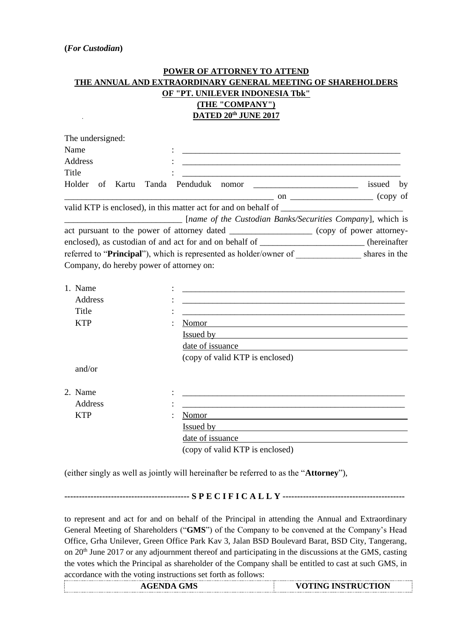## **POWER OF ATTORNEY TO ATTEND THE ANNUAL AND EXTRAORDINARY GENERAL MEETING OF SHAREHOLDERS OF "PT. UNILEVER INDONESIA Tbk" (THE "COMPANY") DATED 20th JUNE 2017**

| The undersigned:                                              |                                                                                               |                                                                                                                       |  |  |  |
|---------------------------------------------------------------|-----------------------------------------------------------------------------------------------|-----------------------------------------------------------------------------------------------------------------------|--|--|--|
| Name                                                          |                                                                                               |                                                                                                                       |  |  |  |
| <b>Address</b>                                                |                                                                                               |                                                                                                                       |  |  |  |
| Title                                                         | <u> 1980 - John Stein, Amerikaansk politiker (</u>                                            |                                                                                                                       |  |  |  |
| Holder of Kartu Tanda Penduduk nomor                          |                                                                                               | issued by                                                                                                             |  |  |  |
|                                                               | copy of Copy of                                                                               |                                                                                                                       |  |  |  |
|                                                               | valid KTP is enclosed), in this matter act for and on behalf of                               |                                                                                                                       |  |  |  |
| <u> 2000 - Jan James James Barnett, fransk politik (d. 18</u> | [name of the Custodian Banks/Securities Company], which is                                    |                                                                                                                       |  |  |  |
|                                                               | act pursuant to the power of attorney dated ________________ (copy of power attorney-         |                                                                                                                       |  |  |  |
|                                                               | enclosed), as custodian of and act for and on behalf of ______________________(hereinafter    |                                                                                                                       |  |  |  |
|                                                               | referred to "Principal"), which is represented as holder/owner of _____________ shares in the |                                                                                                                       |  |  |  |
| Company, do hereby power of attorney on:                      |                                                                                               |                                                                                                                       |  |  |  |
|                                                               |                                                                                               |                                                                                                                       |  |  |  |
| 1. Name                                                       | <u> 1989 - Johann Stoff, amerikansk politiker (d. 1989)</u>                                   |                                                                                                                       |  |  |  |
| Address                                                       |                                                                                               |                                                                                                                       |  |  |  |
| Title                                                         |                                                                                               | <u> 1989 - Johann Harry Harry Harry Harry Harry Harry Harry Harry Harry Harry Harry Harry Harry Harry Harry Harry</u> |  |  |  |
| <b>KTP</b>                                                    | Nomor                                                                                         |                                                                                                                       |  |  |  |
|                                                               | <u>Issued by</u>                                                                              |                                                                                                                       |  |  |  |
|                                                               |                                                                                               |                                                                                                                       |  |  |  |
|                                                               | (copy of valid KTP is enclosed)                                                               |                                                                                                                       |  |  |  |
| and/or                                                        |                                                                                               |                                                                                                                       |  |  |  |
|                                                               |                                                                                               |                                                                                                                       |  |  |  |
| 2. Name                                                       |                                                                                               |                                                                                                                       |  |  |  |
| Address                                                       |                                                                                               |                                                                                                                       |  |  |  |
| <b>KTP</b>                                                    | Nomor                                                                                         |                                                                                                                       |  |  |  |
|                                                               | <u>Issued by</u>                                                                              |                                                                                                                       |  |  |  |
|                                                               | date of issuance                                                                              |                                                                                                                       |  |  |  |
|                                                               | (copy of valid KTP is enclosed)                                                               |                                                                                                                       |  |  |  |

(either singly as well as jointly will hereinafter be referred to as the "**Attorney**"),

**------------------------------------------- S P E C I F I C A L L Y ------------------------------------------**

to represent and act for and on behalf of the Principal in attending the Annual and Extraordinary General Meeting of Shareholders ("**GMS**") of the Company to be convened at the Company's Head Office, Grha Unilever, Green Office Park Kav 3, Jalan BSD Boulevard Barat, BSD City, Tangerang, on 20th June 2017 or any adjournment thereof and participating in the discussions at the GMS, casting the votes which the Principal as shareholder of the Company shall be entitled to cast at such GMS, in accordance with the voting instructions set forth as follows:

| <br><br><br><br><br><br><br><b>AGENDA GMS</b> | <br><br><br><b>VOTING INSTRUCTION</b> |
|-----------------------------------------------|---------------------------------------|
|                                               |                                       |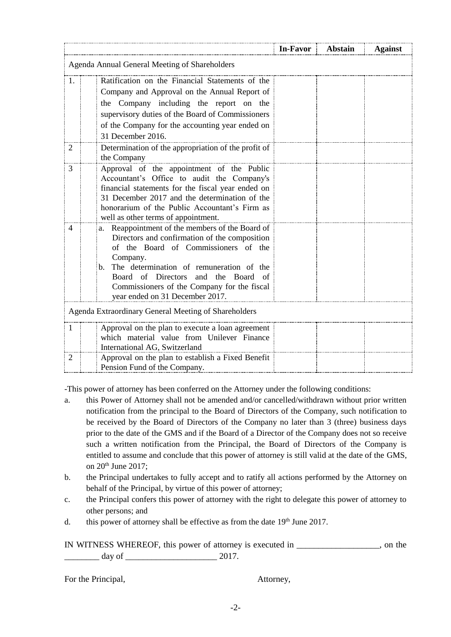|                                                      |                                                                                                                                                                                                                                                                                                                                            | In-Favor | <b>Abstain</b> | <b>Against</b> |  |
|------------------------------------------------------|--------------------------------------------------------------------------------------------------------------------------------------------------------------------------------------------------------------------------------------------------------------------------------------------------------------------------------------------|----------|----------------|----------------|--|
| Agenda Annual General Meeting of Shareholders        |                                                                                                                                                                                                                                                                                                                                            |          |                |                |  |
| $\mathbf{1}$ .                                       | Ratification on the Financial Statements of the<br>Company and Approval on the Annual Report of<br>the Company including the report on the<br>supervisory duties of the Board of Commissioners<br>of the Company for the accounting year ended on<br>31 December 2016.                                                                     |          |                |                |  |
| 2                                                    | Determination of the appropriation of the profit of<br>the Company                                                                                                                                                                                                                                                                         |          |                |                |  |
| 3                                                    | Approval of the appointment of the Public<br>Accountant's Office to audit the Company's<br>financial statements for the fiscal year ended on<br>31 December 2017 and the determination of the<br>honorarium of the Public Accountant's Firm as<br>well as other terms of appointment.                                                      |          |                |                |  |
| 4                                                    | Reappointment of the members of the Board of<br>a.<br>Directors and confirmation of the composition<br>of the Board of Commissioners of the<br>Company.<br>The determination of remuneration of the<br>b.<br>Board of Directors<br>and the Board<br>- of<br>Commissioners of the Company for the fiscal<br>year ended on 31 December 2017. |          |                |                |  |
| Agenda Extraordinary General Meeting of Shareholders |                                                                                                                                                                                                                                                                                                                                            |          |                |                |  |
| 1                                                    | Approval on the plan to execute a loan agreement<br>which material value from Unilever Finance<br>International AG, Switzerland                                                                                                                                                                                                            |          |                |                |  |
| 2                                                    | Approval on the plan to establish a Fixed Benefit<br>Pension Fund of the Company.                                                                                                                                                                                                                                                          |          |                |                |  |

-This power of attorney has been conferred on the Attorney under the following conditions:

- a. this Power of Attorney shall not be amended and/or cancelled/withdrawn without prior written notification from the principal to the Board of Directors of the Company, such notification to be received by the Board of Directors of the Company no later than 3 (three) business days prior to the date of the GMS and if the Board of a Director of the Company does not so receive such a written notification from the Principal, the Board of Directors of the Company is entitled to assume and conclude that this power of attorney is still valid at the date of the GMS, on 20<sup>th</sup> June 2017;
- b. the Principal undertakes to fully accept and to ratify all actions performed by the Attorney on behalf of the Principal, by virtue of this power of attorney;
- c. the Principal confers this power of attorney with the right to delegate this power of attorney to other persons; and
- d. this power of attorney shall be effective as from the date  $19<sup>th</sup>$  June 2017.

IN WITNESS WHEREOF, this power of attorney is executed in \_\_\_\_\_\_\_\_\_\_\_\_\_\_\_\_\_\_\_, on the  $\frac{day \text{ of }_{2000 \text{ of }_{2000 \text{ of }_{2000 \text{ of }_{2000 \text{ of }_{2000 \text{ of }_{2000 \text{ of }_{2000 \text{ of }_{2000 \text{ of }_{2000 \text{ of }_{2000 \text{ of }_{2000 \text{ of }_{2000 \text{ of }_{2000 \text{ of }_{2000 \text{ of }_{2000 \text{ of }_{2000 \text{ of }_{2000 \text{ of }_{2000 \text{ of }_{2000 \text{ of }_{2000 \text{ of }_{2000 \text{ of }_{$ 

For the Principal,  $\blacksquare$